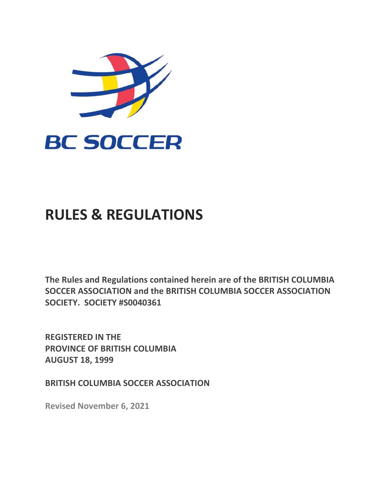

# **RULES & REGULATIONS**

**The Rules and Regulations contained herein are of the BRITISH COLUMBIA SOCCER ASSOCIATION and the BRITISH COLUMBIA SOCCER ASSOCIATION SOCIETY. SOCIETY #S0040361**

**REGISTERED IN THE PROVINCE OF BRITISH COLUMBIA AUGUST 18, 1999**

**BRITISH COLUMBIA SOCCER ASSOCIATION**

**Revised November 6, 2021**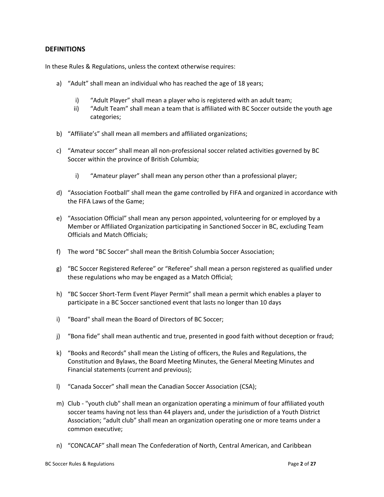## <span id="page-1-0"></span>**DEFINITIONS**

In these Rules & Regulations, unless the context otherwise requires:

- a) "Adult" shall mean an individual who has reached the age of 18 years;
	- i) "Adult Player" shall mean a player who is registered with an adult team;
	- ii) "Adult Team" shall mean a team that is affiliated with BC Soccer outside the youth age categories;
- b) "Affiliate's" shall mean all members and affiliated organizations;
- c) "Amateur soccer" shall mean all non-professional soccer related activities governed by BC Soccer within the province of British Columbia;
	- i) "Amateur player" shall mean any person other than a professional player;
- d) "Association Football" shall mean the game controlled by FIFA and organized in accordance with the FIFA Laws of the Game;
- e) "Association Official" shall mean any person appointed, volunteering for or employed by a Member or Affiliated Organization participating in Sanctioned Soccer in BC, excluding Team Officials and Match Officials;
- f) The word "BC Soccer" shall mean the British Columbia Soccer Association;
- g) "BC Soccer Registered Referee" or "Referee" shall mean a person registered as qualified under these regulations who may be engaged as a Match Official;
- h) "BC Soccer Short-Term Event Player Permit" shall mean a permit which enables a player to participate in a BC Soccer sanctioned event that lasts no longer than 10 days
- i) "Board" shall mean the Board of Directors of BC Soccer;
- j) "Bona fide" shall mean authentic and true, presented in good faith without deception or fraud;
- k) "Books and Records" shall mean the Listing of officers, the Rules and Regulations, the Constitution and Bylaws, the Board Meeting Minutes, the General Meeting Minutes and Financial statements (current and previous);
- l) "Canada Soccer" shall mean the Canadian Soccer Association (CSA);
- m) Club "youth club" shall mean an organization operating a minimum of four affiliated youth soccer teams having not less than 44 players and, under the jurisdiction of a Youth District Association; "adult club" shall mean an organization operating one or more teams under a common executive;
- n) "CONCACAF" shall mean The Confederation of North, Central American, and Caribbean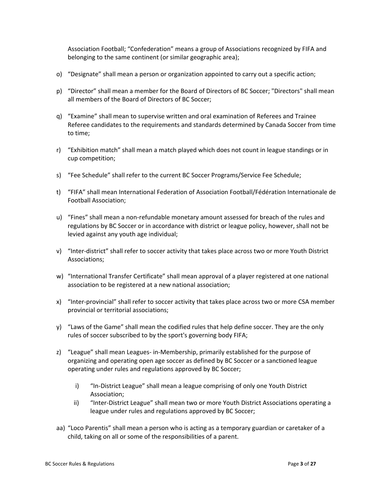Association Football; "Confederation" means a group of Associations recognized by FIFA and belonging to the same continent (or similar geographic area);

- o) "Designate" shall mean a person or organization appointed to carry out a specific action;
- p) "Director" shall mean a member for the Board of Directors of BC Soccer; "Directors" shall mean all members of the Board of Directors of BC Soccer;
- q) "Examine" shall mean to supervise written and oral examination of Referees and Trainee Referee candidates to the requirements and standards determined by Canada Soccer from time to time;
- r) "Exhibition match" shall mean a match played which does not count in league standings or in cup competition;
- s) "Fee Schedule" shall refer to the current BC Soccer Programs/Service Fee Schedule;
- t) "FIFA" shall mean International Federation of Association Football/Fédération Internationale de Football Association;
- u) "Fines" shall mean a non-refundable monetary amount assessed for breach of the rules and regulations by BC Soccer or in accordance with district or league policy, however, shall not be levied against any youth age individual;
- v) "Inter-district" shall refer to soccer activity that takes place across two or more Youth District Associations;
- w) "International Transfer Certificate" shall mean approval of a player registered at one national association to be registered at a new national association;
- x) "Inter-provincial" shall refer to soccer activity that takes place across two or more CSA member provincial or territorial associations;
- y) "Laws of the Game" shall mean the codified rules that help define soccer. They are the only rules of soccer subscribed to by the sport's governing body FIFA;
- z) "League" shall mean Leagues- in-Membership, primarily established for the purpose of organizing and operating open age soccer as defined by BC Soccer or a sanctioned league operating under rules and regulations approved by BC Soccer;
	- i) "In-District League" shall mean a league comprising of only one Youth District Association;
	- ii) "Inter-District League" shall mean two or more Youth District Associations operating a league under rules and regulations approved by BC Soccer;
- aa) "Loco Parentis" shall mean a person who is acting as a temporary guardian or caretaker of a child, taking on all or some of the responsibilities of a parent.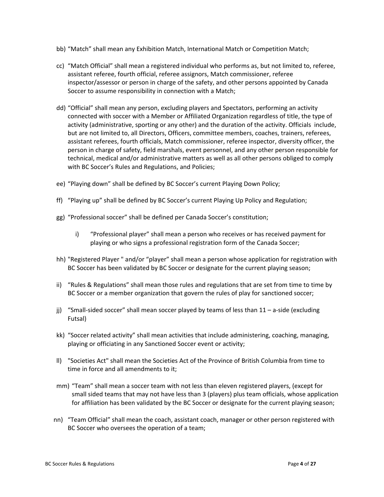- bb) "Match" shall mean any Exhibition Match, International Match or Competition Match;
- cc) "Match Official" shall mean a registered individual who performs as, but not limited to, referee, assistant referee, fourth official, referee assignors, Match commissioner, referee inspector/assessor or person in charge of the safety, and other persons appointed by Canada Soccer to assume responsibility in connection with a Match;
- dd) "Official" shall mean any person, excluding players and Spectators, performing an activity connected with soccer with a Member or Affiliated Organization regardless of title, the type of activity (administrative, sporting or any other) and the duration of the activity. Officials include, but are not limited to, all Directors, Officers, committee members, coaches, trainers, referees, assistant referees, fourth officials, Match commissioner, referee inspector, diversity officer, the person in charge of safety, field marshals, event personnel, and any other person responsible for technical, medical and/or administrative matters as well as all other persons obliged to comply with BC Soccer's Rules and Regulations, and Policies;
- ee) "Playing down" shall be defined by BC Soccer's current Playing Down Policy;
- ff) "Playing up" shall be defined by BC Soccer's current Playing Up Policy and Regulation;
- gg) "Professional soccer" shall be defined per Canada Soccer's constitution;
	- i) "Professional player" shall mean a person who receives or has received payment for playing or who signs a professional registration form of the Canada Soccer;
- hh) "Registered Player " and/or "player" shall mean a person whose application for registration with BC Soccer has been validated by BC Soccer or designate for the current playing season;
- ii) "Rules & Regulations" shall mean those rules and regulations that are set from time to time by BC Soccer or a member organization that govern the rules of play for sanctioned soccer;
- jj) "Small-sided soccer" shall mean soccer played by teams of less than 11 a-side (excluding Futsal)
- kk) "Soccer related activity" shall mean activities that include administering, coaching, managing, playing or officiating in any Sanctioned Soccer event or activity;
- ll) "Societies Act" shall mean the Societies Act of the Province of British Columbia from time to time in force and all amendments to it;
- mm) "Team" shall mean a soccer team with not less than eleven registered players, (except for small sided teams that may not have less than 3 (players) plus team officials, whose application for affiliation has been validated by the BC Soccer or designate for the current playing season;
- nn) "Team Official" shall mean the coach, assistant coach, manager or other person registered with BC Soccer who oversees the operation of a team;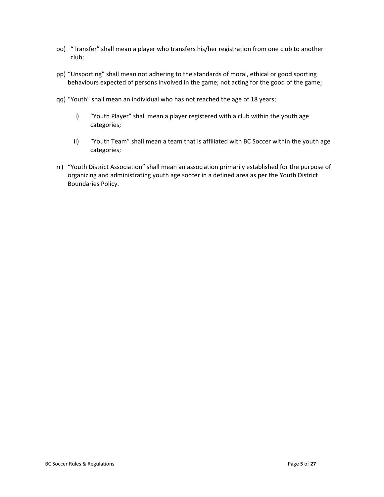- oo) "Transfer" shall mean a player who transfers his/her registration from one club to another club;
- pp) "Unsporting" shall mean not adhering to the standards of moral, ethical or good sporting behaviours expected of persons involved in the game; not acting for the good of the game;
- qq) "Youth" shall mean an individual who has not reached the age of 18 years;
	- i) "Youth Player" shall mean a player registered with a club within the youth age categories;
	- ii) "Youth Team" shall mean a team that is affiliated with BC Soccer within the youth age categories;
- rr) "Youth District Association" shall mean an association primarily established for the purpose of organizing and administrating youth age soccer in a defined area as per the Youth District Boundaries Policy.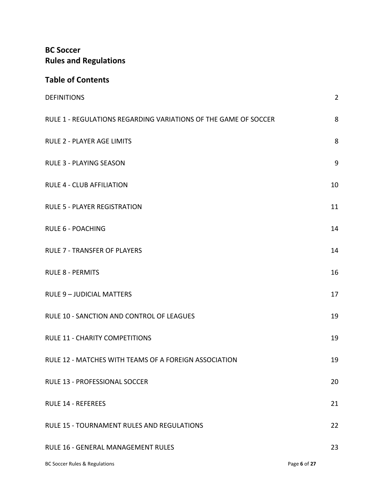# **BC Soccer Rules and Regulations**

## **Table of Contents**

| <b>DEFINITIONS</b>                                              | $\overline{2}$ |
|-----------------------------------------------------------------|----------------|
| RULE 1 - REGULATIONS REGARDING VARIATIONS OF THE GAME OF SOCCER | 8              |
| <b>RULE 2 - PLAYER AGE LIMITS</b>                               | 8              |
| <b>RULE 3 - PLAYING SEASON</b>                                  | 9              |
| <b>RULE 4 - CLUB AFFILIATION</b>                                | 10             |
| <b>RULE 5 - PLAYER REGISTRATION</b>                             | 11             |
| <b>RULE 6 - POACHING</b>                                        | 14             |
| <b>RULE 7 - TRANSFER OF PLAYERS</b>                             | 14             |
| <b>RULE 8 - PERMITS</b>                                         | 16             |
| <b>RULE 9 - JUDICIAL MATTERS</b>                                | 17             |
| RULE 10 - SANCTION AND CONTROL OF LEAGUES                       | 19             |
| <b>RULE 11 - CHARITY COMPETITIONS</b>                           | 19             |
| RULE 12 - MATCHES WITH TEAMS OF A FOREIGN ASSOCIATION           | 19             |
| RULE 13 - PROFESSIONAL SOCCER                                   | 20             |
| <b>RULE 14 - REFEREES</b>                                       | 21             |
| RULE 15 - TOURNAMENT RULES AND REGULATIONS                      | 22             |
| RULE 16 - GENERAL MANAGEMENT RULES                              | 23             |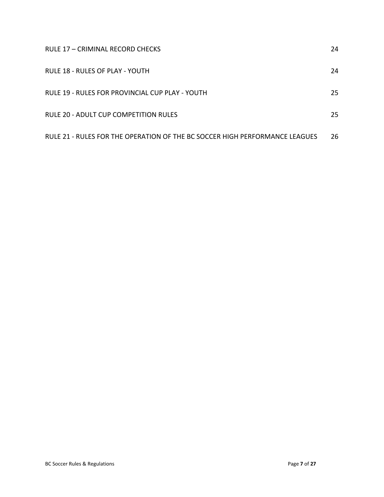| RULE 17 - CRIMINAL RECORD CHECKS                                            | 24 |
|-----------------------------------------------------------------------------|----|
| RULE 18 - RULES OF PLAY - YOUTH                                             | 24 |
| RULE 19 - RULES FOR PROVINCIAL CUP PLAY - YOUTH                             | 25 |
| RULE 20 - ADULT CUP COMPETITION RULES                                       | 25 |
| RULE 21 - RULES FOR THE OPERATION OF THE BC SOCCER HIGH PERFORMANCE LEAGUES | 26 |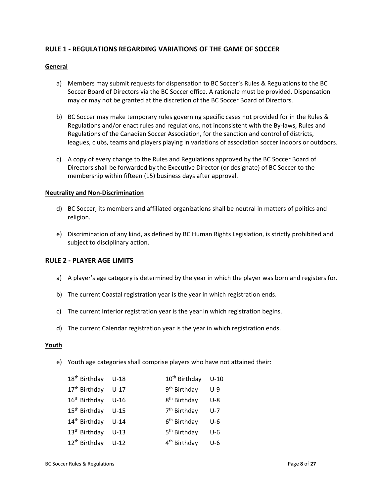## <span id="page-7-0"></span>**RULE 1 - REGULATIONS REGARDING VARIATIONS OF THE GAME OF SOCCER**

## **General**

- a) Members may submit requests for dispensation to BC Soccer's Rules & Regulations to the BC Soccer Board of Directors via the BC Soccer office. A rationale must be provided. Dispensation may or may not be granted at the discretion of the BC Soccer Board of Directors.
- b) BC Soccer may make temporary rules governing specific cases not provided for in the Rules & Regulations and/or enact rules and regulations, not inconsistent with the By-laws, Rules and Regulations of the Canadian Soccer Association, for the sanction and control of districts, leagues, clubs, teams and players playing in variations of association soccer indoors or outdoors.
- c) A copy of every change to the Rules and Regulations approved by the BC Soccer Board of Directors shall be forwarded by the Executive Director (or designate) of BC Soccer to the membership within fifteen (15) business days after approval.

## **Neutrality and Non-Discrimination**

- d) BC Soccer, its members and affiliated organizations shall be neutral in matters of politics and religion.
- e) Discrimination of any kind, as defined by BC Human Rights Legislation, is strictly prohibited and subject to disciplinary action.

## <span id="page-7-1"></span>**RULE 2 - PLAYER AGE LIMITS**

- a) A player's age category is determined by the year in which the player was born and registers for.
- b) The current Coastal registration year is the year in which registration ends.
- c) The current Interior registration year is the year in which registration begins.
- d) The current Calendar registration year is the year in which registration ends.

#### **Youth**

e) Youth age categories shall comprise players who have not attained their:

| 18 <sup>th</sup> Birthday U-18 |        | 10 <sup>th</sup> Birthday | $U-10$  |
|--------------------------------|--------|---------------------------|---------|
| 17 <sup>th</sup> Birthday      | $U-17$ | 9 <sup>th</sup> Birthday  | $U-9$   |
| 16 <sup>th</sup> Birthday      | U-16   | 8 <sup>th</sup> Birthday  | $U-8$   |
| 15 <sup>th</sup> Birthday      | U-15   | 7 <sup>th</sup> Birthday  | $U - 7$ |
| 14 <sup>th</sup> Birthday      | $U-14$ | 6 <sup>th</sup> Birthday  | U-6     |
| 13 <sup>th</sup> Birthday      | $U-13$ | 5 <sup>th</sup> Birthday  | U-6     |
| 12 <sup>th</sup> Birthday      | $U-12$ | 4 <sup>th</sup> Birthday  | U-6     |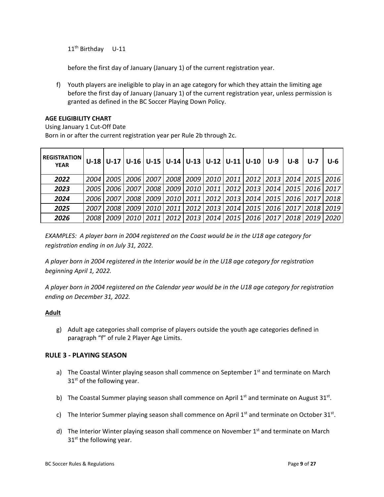11<sup>th</sup> Birthday U-11

before the first day of January (January 1) of the current registration year.

f) Youth players are ineligible to play in an age category for which they attain the limiting age before the first day of January (January 1) of the current registration year, unless permission is granted as defined in the BC Soccer Playing Down Policy.

## **AGE ELIGIBILITY CHART**

Using January 1 Cut-Off Date Born in or after the current registration year per Rule 2b through 2c.

| <b>REGISTRATION</b><br><b>YEAR</b> |        |        |        |                    |      |  | $U-18$   U-17   U-16   U-15   U-14   U-13   U-12   U-11   U-10   U-9 | U-8 | U-7 | U-6                                                          |
|------------------------------------|--------|--------|--------|--------------------|------|--|----------------------------------------------------------------------|-----|-----|--------------------------------------------------------------|
| 2022                               | 2004   |        |        | 2005   2006   2007 |      |  |                                                                      |     |     | 2008   2009   2010   2011   2012   2013   2014   2015   2016 |
| 2023                               | 2005   | 2006 I | 2007 I | 2008               | 2009 |  |                                                                      |     |     | 2010   2011   2012   2013   2014   2015   2016   2017        |
| 2024                               | 2006 I | 2007   |        | 2008   2009        |      |  |                                                                      |     |     | 2010   2011   2012   2013   2014   2015   2016   2017   2018 |
| 2025                               | 2007   | 2008 I | 2009 L | 2010 I             | 2011 |  | 2012   2013   2014   2015   2016   2017   2018                       |     |     | 2019                                                         |
| 2026                               | 2008   | 2009 I |        | 2010   2011        |      |  |                                                                      |     |     | 2012   2013   2014   2015   2016   2017   2018   2019   2020 |

*EXAMPLES: A player born in 2004 registered on the Coast would be in the U18 age category for registration ending in on July 31, 2022.*

*A player born in 2004 registered in the Interior would be in the U18 age category for registration beginning April 1, 2022.*

*A player born in 2004 registered on the Calendar year would be in the U18 age category for registration ending on December 31, 2022.*

## **Adult**

g) Adult age categories shall comprise of players outside the youth age categories defined in paragraph "f" of rule 2 Player Age Limits.

## <span id="page-8-0"></span>**RULE 3 - PLAYING SEASON**

- a) The Coastal Winter playing season shall commence on September  $1<sup>st</sup>$  and terminate on March  $31<sup>st</sup>$  of the following year.
- b) The Coastal Summer playing season shall commence on April 1st and terminate on August 31st.
- c) The Interior Summer playing season shall commence on April  $1<sup>st</sup>$  and terminate on October 31 $<sup>st</sup>$ .</sup>
- d) The Interior Winter playing season shall commence on November  $1<sup>st</sup>$  and terminate on March  $31<sup>st</sup>$  the following year.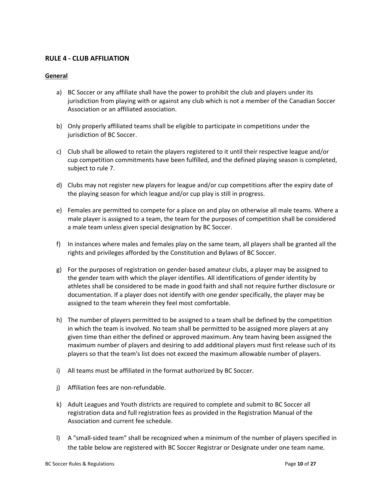## <span id="page-9-0"></span>**RULE 4 - CLUB AFFILIATION**

## **General**

- a) BC Soccer or any affiliate shall have the power to prohibit the club and players under its jurisdiction from playing with or against any club which is not a member of the Canadian Soccer Association or an affiliated association.
- b) Only properly affiliated teams shall be eligible to participate in competitions under the jurisdiction of BC Soccer.
- c) Club shall be allowed to retain the players registered to it until their respective league and/or cup competition commitments have been fulfilled, and the defined playing season is completed, subject to rule 7.
- d) Clubs may not register new players for league and/or cup competitions after the expiry date of the playing season for which league and/or cup play is still in progress.
- e) Females are permitted to compete for a place on and play on otherwise all male teams. Where a male player is assigned to a team, the team for the purposes of competition shall be considered a male team unless given special designation by BC Soccer.
- f) In instances where males and females play on the same team, all players shall be granted all the rights and privileges afforded by the Constitution and Bylaws of BC Soccer.
- g) For the purposes of registration on gender-based amateur clubs, a player may be assigned to the gender team with which the player identifies. All identifications of gender identity by athletes shall be considered to be made in good faith and shall not require further disclosure or documentation. If a player does not identify with one gender specifically, the player may be assigned to the team wherein they feel most comfortable.
- h) The number of players permitted to be assigned to a team shall be defined by the competition in which the team is involved. No team shall be permitted to be assigned more players at any given time than either the defined or approved maximum. Any team having been assigned the maximum number of players and desiring to add additional players must first release such of its players so that the team's list does not exceed the maximum allowable number of players.
- i) All teams must be affiliated in the format authorized by BC Soccer.
- j) Affiliation fees are non-refundable.
- k) Adult Leagues and Youth districts are required to complete and submit to BC Soccer all registration data and full registration fees as provided in the Registration Manual of the Association and current fee schedule.
- l) A "small-sided team" shall be recognized when a minimum of the number of players specified in the table below are registered with BC Soccer Registrar or Designate under one team name.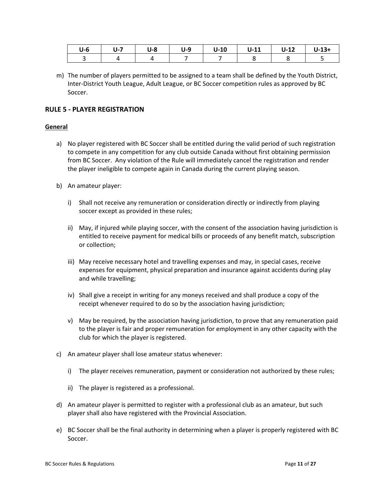| U-6 | $U-7$ | U-8 | $U-9$ | $U-10$ | $U-11$ | $U-12$ | $U-13+$ |
|-----|-------|-----|-------|--------|--------|--------|---------|
|     |       |     |       |        |        |        |         |

m) The number of players permitted to be assigned to a team shall be defined by the Youth District, Inter-District Youth League, Adult League, or BC Soccer competition rules as approved by BC Soccer.

## <span id="page-10-0"></span>**RULE 5 - PLAYER REGISTRATION**

#### **General**

- a) No player registered with BC Soccer shall be entitled during the valid period of such registration to compete in any competition for any club outside Canada without first obtaining permission from BC Soccer. Any violation of the Rule will immediately cancel the registration and render the player ineligible to compete again in Canada during the current playing season.
- b) An amateur player:
	- i) Shall not receive any remuneration or consideration directly or indirectly from playing soccer except as provided in these rules;
	- ii) May, if injured while playing soccer, with the consent of the association having jurisdiction is entitled to receive payment for medical bills or proceeds of any benefit match, subscription or collection;
	- iii) May receive necessary hotel and travelling expenses and may, in special cases, receive expenses for equipment, physical preparation and insurance against accidents during play and while travelling;
	- iv) Shall give a receipt in writing for any moneys received and shall produce a copy of the receipt whenever required to do so by the association having jurisdiction;
	- v) May be required, by the association having jurisdiction, to prove that any remuneration paid to the player is fair and proper remuneration for employment in any other capacity with the club for which the player is registered.
- c) An amateur player shall lose amateur status whenever:
	- i) The player receives remuneration, payment or consideration not authorized by these rules;
	- ii) The player is registered as a professional.
- d) An amateur player is permitted to register with a professional club as an amateur, but such player shall also have registered with the Provincial Association.
- e) BC Soccer shall be the final authority in determining when a player is properly registered with BC Soccer.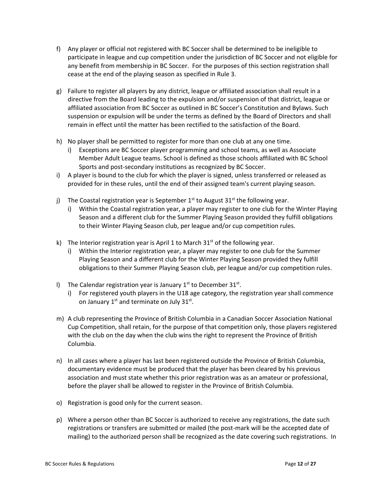- f) Any player or official not registered with BC Soccer shall be determined to be ineligible to participate in league and cup competition under the jurisdiction of BC Soccer and not eligible for any benefit from membership in BC Soccer. For the purposes of this section registration shall cease at the end of the playing season as specified in Rule 3.
- g) Failure to register all players by any district, league or affiliated association shall result in a directive from the Board leading to the expulsion and/or suspension of that district, league or affiliated association from BC Soccer as outlined in BC Soccer's Constitution and Bylaws. Such suspension or expulsion will be under the terms as defined by the Board of Directors and shall remain in effect until the matter has been rectified to the satisfaction of the Board.
- h) No player shall be permitted to register for more than one club at any one time.
	- i) Exceptions are BC Soccer player programming and school teams, as well as Associate Member Adult League teams. School is defined as those schools affiliated with BC School Sports and post-secondary institutions as recognized by BC Soccer.
- i) A player is bound to the club for which the player is signed, unless transferred or released as provided for in these rules, until the end of their assigned team's current playing season.
- j) The Coastal registration year is September  $1<sup>st</sup>$  to August 31<sup>st</sup> the following year.
	- i) Within the Coastal registration year, a player may register to one club for the Winter Playing Season and a different club for the Summer Playing Season provided they fulfill obligations to their Winter Playing Season club, per league and/or cup competition rules.
- k) The Interior registration year is April 1 to March  $31<sup>st</sup>$  of the following year.
	- i) Within the Interior registration year, a player may register to one club for the Summer Playing Season and a different club for the Winter Playing Season provided they fulfill obligations to their Summer Playing Season club, per league and/or cup competition rules.
- I) The Calendar registration year is January  $1<sup>st</sup>$  to December 31 $<sup>st</sup>$ .</sup>
	- i) For registered youth players in the U18 age category, the registration year shall commence on January  $1^{st}$  and terminate on July 31st.
- m) A club representing the Province of British Columbia in a Canadian Soccer Association National Cup Competition, shall retain, for the purpose of that competition only, those players registered with the club on the day when the club wins the right to represent the Province of British Columbia.
- n) In all cases where a player has last been registered outside the Province of British Columbia, documentary evidence must be produced that the player has been cleared by his previous association and must state whether this prior registration was as an amateur or professional, before the player shall be allowed to register in the Province of British Columbia.
- o) Registration is good only for the current season.
- p) Where a person other than BC Soccer is authorized to receive any registrations, the date such registrations or transfers are submitted or mailed (the post-mark will be the accepted date of mailing) to the authorized person shall be recognized as the date covering such registrations. In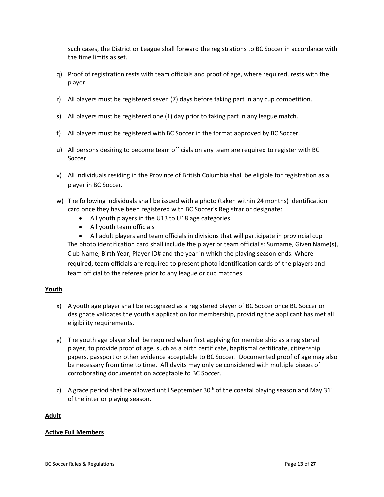such cases, the District or League shall forward the registrations to BC Soccer in accordance with the time limits as set.

- q) Proof of registration rests with team officials and proof of age, where required, rests with the player.
- r) All players must be registered seven (7) days before taking part in any cup competition.
- s) All players must be registered one (1) day prior to taking part in any league match.
- t) All players must be registered with BC Soccer in the format approved by BC Soccer.
- u) All persons desiring to become team officials on any team are required to register with BC Soccer.
- v) All individuals residing in the Province of British Columbia shall be eligible for registration as a player in BC Soccer.
- w) The following individuals shall be issued with a photo (taken within 24 months) identification card once they have been registered with BC Soccer's Registrar or designate:
	- All youth players in the U13 to U18 age categories
	- All youth team officials

• All adult players and team officials in divisions that will participate in provincial cup The photo identification card shall include the player or team official's: Surname, Given Name(s), Club Name, Birth Year, Player ID# and the year in which the playing season ends. Where required, team officials are required to present photo identification cards of the players and team official to the referee prior to any league or cup matches.

## **Youth**

- x) A youth age player shall be recognized as a registered player of BC Soccer once BC Soccer or designate validates the youth's application for membership, providing the applicant has met all eligibility requirements.
- y) The youth age player shall be required when first applying for membership as a registered player, to provide proof of age, such as a birth certificate, baptismal certificate, citizenship papers, passport or other evidence acceptable to BC Soccer. Documented proof of age may also be necessary from time to time. Affidavits may only be considered with multiple pieces of corroborating documentation acceptable to BC Soccer.
- z) A grace period shall be allowed until September 30<sup>th</sup> of the coastal playing season and May 31<sup>st</sup> of the interior playing season.

## **Adult**

## **Active Full Members**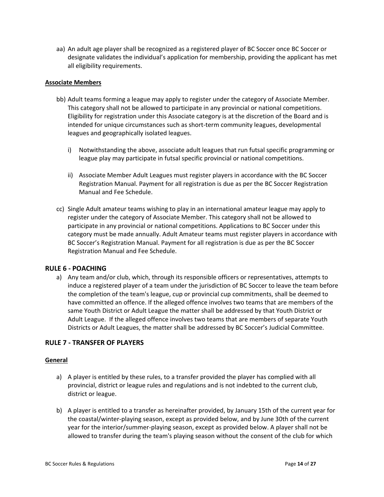aa) An adult age player shall be recognized as a registered player of BC Soccer once BC Soccer or designate validates the individual's application for membership, providing the applicant has met all eligibility requirements.

## **Associate Members**

- bb) Adult teams forming a league may apply to register under the category of Associate Member. This category shall not be allowed to participate in any provincial or national competitions. Eligibility for registration under this Associate category is at the discretion of the Board and is intended for unique circumstances such as short-term community leagues, developmental leagues and geographically isolated leagues.
	- i) Notwithstanding the above, associate adult leagues that run futsal specific programming or league play may participate in futsal specific provincial or national competitions.
	- ii) Associate Member Adult Leagues must register players in accordance with the BC Soccer Registration Manual. Payment for all registration is due as per the BC Soccer Registration Manual and Fee Schedule.
- cc) Single Adult amateur teams wishing to play in an international amateur league may apply to register under the category of Associate Member. This category shall not be allowed to participate in any provincial or national competitions. Applications to BC Soccer under this category must be made annually. Adult Amateur teams must register players in accordance with BC Soccer's Registration Manual. Payment for all registration is due as per the BC Soccer Registration Manual and Fee Schedule.

## <span id="page-13-0"></span>**RULE 6 - POACHING**

a) Any team and/or club, which, through its responsible officers or representatives, attempts to induce a registered player of a team under the jurisdiction of BC Soccer to leave the team before the completion of the team's league, cup or provincial cup commitments, shall be deemed to have committed an offence. If the alleged offence involves two teams that are members of the same Youth District or Adult League the matter shall be addressed by that Youth District or Adult League. If the alleged offence involves two teams that are members of separate Youth Districts or Adult Leagues, the matter shall be addressed by BC Soccer's Judicial Committee.

## <span id="page-13-1"></span>**RULE 7 - TRANSFER OF PLAYERS**

#### **General**

- a) A player is entitled by these rules, to a transfer provided the player has complied with all provincial, district or league rules and regulations and is not indebted to the current club, district or league.
- b) A player is entitled to a transfer as hereinafter provided, by January 15th of the current year for the coastal/winter-playing season, except as provided below, and by June 30th of the current year for the interior/summer-playing season, except as provided below. A player shall not be allowed to transfer during the team's playing season without the consent of the club for which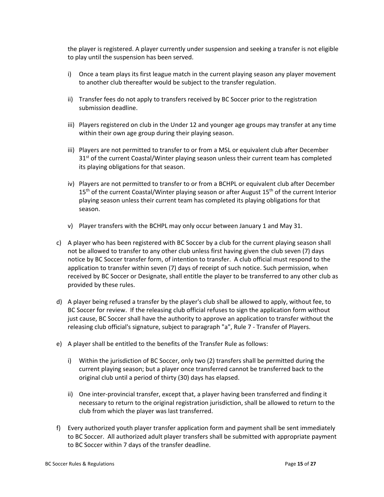the player is registered. A player currently under suspension and seeking a transfer is not eligible to play until the suspension has been served.

- i) Once a team plays its first league match in the current playing season any player movement to another club thereafter would be subject to the transfer regulation.
- ii) Transfer fees do not apply to transfers received by BC Soccer prior to the registration submission deadline.
- iii) Players registered on club in the Under 12 and younger age groups may transfer at any time within their own age group during their playing season.
- iii) Players are not permitted to transfer to or from a MSL or equivalent club after December  $31<sup>st</sup>$  of the current Coastal/Winter playing season unless their current team has completed its playing obligations for that season.
- iv) Players are not permitted to transfer to or from a BCHPL or equivalent club after December 15<sup>th</sup> of the current Coastal/Winter playing season or after August 15<sup>th</sup> of the current Interior playing season unless their current team has completed its playing obligations for that season.
- v) Player transfers with the BCHPL may only occur between January 1 and May 31.
- c) A player who has been registered with BC Soccer by a club for the current playing season shall not be allowed to transfer to any other club unless first having given the club seven (7) days notice by BC Soccer transfer form, of intention to transfer. A club official must respond to the application to transfer within seven (7) days of receipt of such notice. Such permission, when received by BC Soccer or Designate, shall entitle the player to be transferred to any other club as provided by these rules.
- d) A player being refused a transfer by the player's club shall be allowed to apply, without fee, to BC Soccer for review. If the releasing club official refuses to sign the application form without just cause, BC Soccer shall have the authority to approve an application to transfer without the releasing club official's signature, subject to paragraph "a", Rule 7 - Transfer of Players.
- e) A player shall be entitled to the benefits of the Transfer Rule as follows:
	- i) Within the jurisdiction of BC Soccer, only two (2) transfers shall be permitted during the current playing season; but a player once transferred cannot be transferred back to the original club until a period of thirty (30) days has elapsed.
	- ii) One inter-provincial transfer, except that, a player having been transferred and finding it necessary to return to the original registration jurisdiction, shall be allowed to return to the club from which the player was last transferred.
- f) Every authorized youth player transfer application form and payment shall be sent immediately to BC Soccer. All authorized adult player transfers shall be submitted with appropriate payment to BC Soccer within 7 days of the transfer deadline.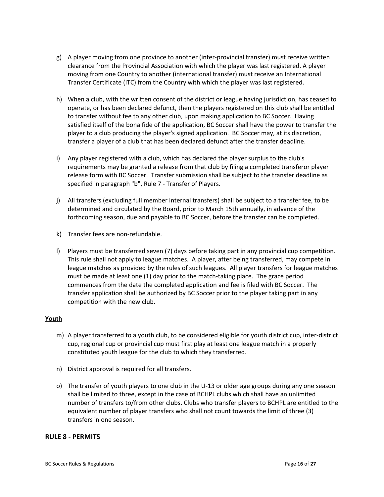- g) A player moving from one province to another (inter-provincial transfer) must receive written clearance from the Provincial Association with which the player was last registered. A player moving from one Country to another (international transfer) must receive an International Transfer Certificate (ITC) from the Country with which the player was last registered.
- h) When a club, with the written consent of the district or league having jurisdiction, has ceased to operate, or has been declared defunct, then the players registered on this club shall be entitled to transfer without fee to any other club, upon making application to BC Soccer. Having satisfied itself of the bona fide of the application, BC Soccer shall have the power to transfer the player to a club producing the player's signed application. BC Soccer may, at its discretion, transfer a player of a club that has been declared defunct after the transfer deadline.
- i) Any player registered with a club, which has declared the player surplus to the club's requirements may be granted a release from that club by filing a completed transferor player release form with BC Soccer. Transfer submission shall be subject to the transfer deadline as specified in paragraph "b", Rule 7 - Transfer of Players.
- j) All transfers (excluding full member internal transfers) shall be subject to a transfer fee, to be determined and circulated by the Board, prior to March 15th annually, in advance of the forthcoming season, due and payable to BC Soccer, before the transfer can be completed.
- k) Transfer fees are non-refundable.
- l) Players must be transferred seven (7) days before taking part in any provincial cup competition. This rule shall not apply to league matches. A player, after being transferred, may compete in league matches as provided by the rules of such leagues. All player transfers for league matches must be made at least one (1) day prior to the match-taking place. The grace period commences from the date the completed application and fee is filed with BC Soccer. The transfer application shall be authorized by BC Soccer prior to the player taking part in any competition with the new club.

## **Youth**

- m) A player transferred to a youth club, to be considered eligible for youth district cup, inter-district cup, regional cup or provincial cup must first play at least one league match in a properly constituted youth league for the club to which they transferred.
- n) District approval is required for all transfers.
- o) The transfer of youth players to one club in the U-13 or older age groups during any one season shall be limited to three, except in the case of BCHPL clubs which shall have an unlimited number of transfers to/from other clubs. Clubs who transfer players to BCHPL are entitled to the equivalent number of player transfers who shall not count towards the limit of three (3) transfers in one season.

## <span id="page-15-0"></span>**RULE 8 - PERMITS**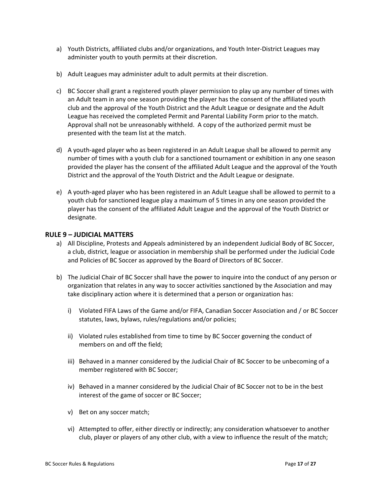- a) Youth Districts, affiliated clubs and/or organizations, and Youth Inter-District Leagues may administer youth to youth permits at their discretion.
- b) Adult Leagues may administer adult to adult permits at their discretion.
- c) BC Soccer shall grant a registered youth player permission to play up any number of times with an Adult team in any one season providing the player has the consent of the affiliated youth club and the approval of the Youth District and the Adult League or designate and the Adult League has received the completed Permit and Parental Liability Form prior to the match. Approval shall not be unreasonably withheld. A copy of the authorized permit must be presented with the team list at the match.
- d) A youth-aged player who as been registered in an Adult League shall be allowed to permit any number of times with a youth club for a sanctioned tournament or exhibition in any one season provided the player has the consent of the affiliated Adult League and the approval of the Youth District and the approval of the Youth District and the Adult League or designate.
- e) A youth-aged player who has been registered in an Adult League shall be allowed to permit to a youth club for sanctioned league play a maximum of 5 times in any one season provided the player has the consent of the affiliated Adult League and the approval of the Youth District or designate.

## <span id="page-16-0"></span>**RULE 9 – JUDICIAL MATTERS**

- a) All Discipline, Protests and Appeals administered by an independent Judicial Body of BC Soccer, a club, district, league or association in membership shall be performed under the Judicial Code and Policies of BC Soccer as approved by the Board of Directors of BC Soccer.
- b) The Judicial Chair of BC Soccer shall have the power to inquire into the conduct of any person or organization that relates in any way to soccer activities sanctioned by the Association and may take disciplinary action where it is determined that a person or organization has:
	- i) Violated FIFA Laws of the Game and/or FIFA, Canadian Soccer Association and / or BC Soccer statutes, laws, bylaws, rules/regulations and/or policies;
	- ii) Violated rules established from time to time by BC Soccer governing the conduct of members on and off the field;
	- iii) Behaved in a manner considered by the Judicial Chair of BC Soccer to be unbecoming of a member registered with BC Soccer;
	- iv) Behaved in a manner considered by the Judicial Chair of BC Soccer not to be in the best interest of the game of soccer or BC Soccer;
	- v) Bet on any soccer match;
	- vi) Attempted to offer, either directly or indirectly; any consideration whatsoever to another club, player or players of any other club, with a view to influence the result of the match;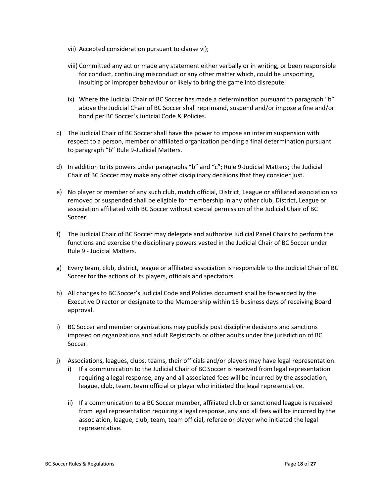- vii) Accepted consideration pursuant to clause vi);
- viii) Committed any act or made any statement either verbally or in writing, or been responsible for conduct, continuing misconduct or any other matter which, could be unsporting, insulting or improper behaviour or likely to bring the game into disrepute.
- ix) Where the Judicial Chair of BC Soccer has made a determination pursuant to paragraph "b" above the Judicial Chair of BC Soccer shall reprimand, suspend and/or impose a fine and/or bond per BC Soccer's Judicial Code & Policies.
- c) The Judicial Chair of BC Soccer shall have the power to impose an interim suspension with respect to a person, member or affiliated organization pending a final determination pursuant to paragraph "b" Rule 9-Judicial Matters.
- d) In addition to its powers under paragraphs "b" and "c"; Rule 9-Judicial Matters; the Judicial Chair of BC Soccer may make any other disciplinary decisions that they consider just.
- e) No player or member of any such club, match official, District, League or affiliated association so removed or suspended shall be eligible for membership in any other club, District, League or association affiliated with BC Soccer without special permission of the Judicial Chair of BC Soccer.
- f) The Judicial Chair of BC Soccer may delegate and authorize Judicial Panel Chairs to perform the functions and exercise the disciplinary powers vested in the Judicial Chair of BC Soccer under Rule 9 - Judicial Matters.
- g) Every team, club, district, league or affiliated association is responsible to the Judicial Chair of BC Soccer for the actions of its players, officials and spectators.
- h) All changes to BC Soccer's Judicial Code and Policies document shall be forwarded by the Executive Director or designate to the Membership within 15 business days of receiving Board approval.
- i) BC Soccer and member organizations may publicly post discipline decisions and sanctions imposed on organizations and adult Registrants or other adults under the jurisdiction of BC Soccer.
- j) Associations, leagues, clubs, teams, their officials and/or players may have legal representation.
	- i) If a communication to the Judicial Chair of BC Soccer is received from legal representation requiring a legal response, any and all associated fees will be incurred by the association, league, club, team, team official or player who initiated the legal representative.
	- ii) If a communication to a BC Soccer member, affiliated club or sanctioned league is received from legal representation requiring a legal response, any and all fees will be incurred by the association, league, club, team, team official, referee or player who initiated the legal representative.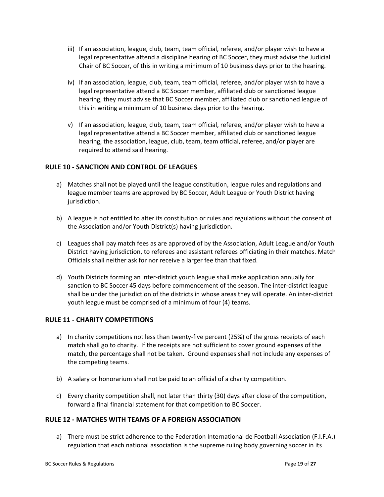- iii) If an association, league, club, team, team official, referee, and/or player wish to have a legal representative attend a discipline hearing of BC Soccer, they must advise the Judicial Chair of BC Soccer, of this in writing a minimum of 10 business days prior to the hearing.
- iv) If an association, league, club, team, team official, referee, and/or player wish to have a legal representative attend a BC Soccer member, affiliated club or sanctioned league hearing, they must advise that BC Soccer member, affiliated club or sanctioned league of this in writing a minimum of 10 business days prior to the hearing.
- v) If an association, league, club, team, team official, referee, and/or player wish to have a legal representative attend a BC Soccer member, affiliated club or sanctioned league hearing, the association, league, club, team, team official, referee, and/or player are required to attend said hearing.

## <span id="page-18-0"></span>**RULE 10 - SANCTION AND CONTROL OF LEAGUES**

- a) Matches shall not be played until the league constitution, league rules and regulations and league member teams are approved by BC Soccer, Adult League or Youth District having jurisdiction.
- b) A league is not entitled to alter its constitution or rules and regulations without the consent of the Association and/or Youth District(s) having jurisdiction.
- c) Leagues shall pay match fees as are approved of by the Association, Adult League and/or Youth District having jurisdiction, to referees and assistant referees officiating in their matches. Match Officials shall neither ask for nor receive a larger fee than that fixed.
- d) Youth Districts forming an inter-district youth league shall make application annually for sanction to BC Soccer 45 days before commencement of the season. The inter-district league shall be under the jurisdiction of the districts in whose areas they will operate. An inter-district youth league must be comprised of a minimum of four (4) teams.

## <span id="page-18-1"></span>**RULE 11 - CHARITY COMPETITIONS**

- a) In charity competitions not less than twenty-five percent (25%) of the gross receipts of each match shall go to charity. If the receipts are not sufficient to cover ground expenses of the match, the percentage shall not be taken. Ground expenses shall not include any expenses of the competing teams.
- b) A salary or honorarium shall not be paid to an official of a charity competition.
- c) Every charity competition shall, not later than thirty (30) days after close of the competition, forward a final financial statement for that competition to BC Soccer.

## <span id="page-18-2"></span>**RULE 12 - MATCHES WITH TEAMS OF A FOREIGN ASSOCIATION**

a) There must be strict adherence to the Federation International de Football Association (F.I.F.A.) regulation that each national association is the supreme ruling body governing soccer in its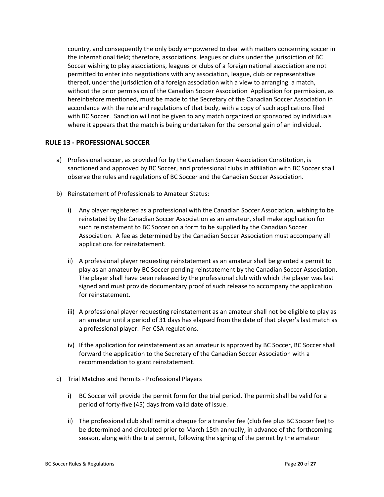country, and consequently the only body empowered to deal with matters concerning soccer in the international field; therefore, associations, leagues or clubs under the jurisdiction of BC Soccer wishing to play associations, leagues or clubs of a foreign national association are not permitted to enter into negotiations with any association, league, club or representative thereof, under the jurisdiction of a foreign association with a view to arranging a match, without the prior permission of the Canadian Soccer Association Application for permission, as hereinbefore mentioned, must be made to the Secretary of the Canadian Soccer Association in accordance with the rule and regulations of that body, with a copy of such applications filed with BC Soccer. Sanction will not be given to any match organized or sponsored by individuals where it appears that the match is being undertaken for the personal gain of an individual.

## <span id="page-19-0"></span>**RULE 13 - PROFESSIONAL SOCCER**

- a) Professional soccer, as provided for by the Canadian Soccer Association Constitution, is sanctioned and approved by BC Soccer, and professional clubs in affiliation with BC Soccer shall observe the rules and regulations of BC Soccer and the Canadian Soccer Association.
- b) Reinstatement of Professionals to Amateur Status:
	- i) Any player registered as a professional with the Canadian Soccer Association, wishing to be reinstated by the Canadian Soccer Association as an amateur, shall make application for such reinstatement to BC Soccer on a form to be supplied by the Canadian Soccer Association. A fee as determined by the Canadian Soccer Association must accompany all applications for reinstatement.
	- ii) A professional player requesting reinstatement as an amateur shall be granted a permit to play as an amateur by BC Soccer pending reinstatement by the Canadian Soccer Association. The player shall have been released by the professional club with which the player was last signed and must provide documentary proof of such release to accompany the application for reinstatement.
	- iii) A professional player requesting reinstatement as an amateur shall not be eligible to play as an amateur until a period of 31 days has elapsed from the date of that player's last match as a professional player. Per CSA regulations.
	- iv) If the application for reinstatement as an amateur is approved by BC Soccer, BC Soccer shall forward the application to the Secretary of the Canadian Soccer Association with a recommendation to grant reinstatement.
- c) Trial Matches and Permits Professional Players
	- i) BC Soccer will provide the permit form for the trial period. The permit shall be valid for a period of forty-five (45) days from valid date of issue.
	- ii) The professional club shall remit a cheque for a transfer fee (club fee plus BC Soccer fee) to be determined and circulated prior to March 15th annually, in advance of the forthcoming season, along with the trial permit, following the signing of the permit by the amateur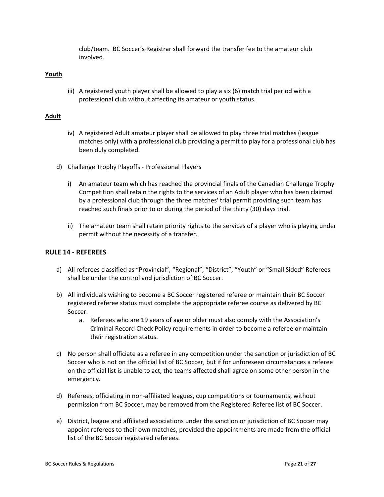club/team. BC Soccer's Registrar shall forward the transfer fee to the amateur club involved.

## **Youth**

iii) A registered youth player shall be allowed to play a six (6) match trial period with a professional club without affecting its amateur or youth status.

## **Adult**

- iv) A registered Adult amateur player shall be allowed to play three trial matches (league matches only) with a professional club providing a permit to play for a professional club has been duly completed.
- d) Challenge Trophy Playoffs Professional Players
	- i) An amateur team which has reached the provincial finals of the Canadian Challenge Trophy Competition shall retain the rights to the services of an Adult player who has been claimed by a professional club through the three matches' trial permit providing such team has reached such finals prior to or during the period of the thirty (30) days trial.
	- ii) The amateur team shall retain priority rights to the services of a player who is playing under permit without the necessity of a transfer.

## <span id="page-20-0"></span>**RULE 14 - REFEREES**

- a) All referees classified as "Provincial", "Regional", "District", "Youth" or "Small Sided" Referees shall be under the control and jurisdiction of BC Soccer.
- b) All individuals wishing to become a BC Soccer registered referee or maintain their BC Soccer registered referee status must complete the appropriate referee course as delivered by BC Soccer.
	- a. Referees who are 19 years of age or older must also comply with the Association's Criminal Record Check Policy requirements in order to become a referee or maintain their registration status.
- c) No person shall officiate as a referee in any competition under the sanction or jurisdiction of BC Soccer who is not on the official list of BC Soccer, but if for unforeseen circumstances a referee on the official list is unable to act, the teams affected shall agree on some other person in the emergency.
- d) Referees, officiating in non-affiliated leagues, cup competitions or tournaments, without permission from BC Soccer, may be removed from the Registered Referee list of BC Soccer.
- e) District, league and affiliated associations under the sanction or jurisdiction of BC Soccer may appoint referees to their own matches, provided the appointments are made from the official list of the BC Soccer registered referees.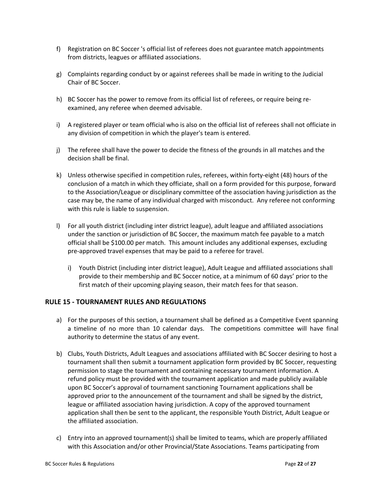- f) Registration on BC Soccer 's official list of referees does not guarantee match appointments from districts, leagues or affiliated associations.
- g) Complaints regarding conduct by or against referees shall be made in writing to the Judicial Chair of BC Soccer.
- h) BC Soccer has the power to remove from its official list of referees, or require being reexamined, any referee when deemed advisable.
- i) A registered player or team official who is also on the official list of referees shall not officiate in any division of competition in which the player's team is entered.
- j) The referee shall have the power to decide the fitness of the grounds in all matches and the decision shall be final.
- k) Unless otherwise specified in competition rules, referees, within forty-eight (48) hours of the conclusion of a match in which they officiate, shall on a form provided for this purpose, forward to the Association/League or disciplinary committee of the association having jurisdiction as the case may be, the name of any individual charged with misconduct. Any referee not conforming with this rule is liable to suspension.
- l) For all youth district (including inter district league), adult league and affiliated associations under the sanction or jurisdiction of BC Soccer, the maximum match fee payable to a match official shall be \$100.00 per match. This amount includes any additional expenses, excluding pre-approved travel expenses that may be paid to a referee for travel.
	- i) Youth District (including inter district league), Adult League and affiliated associations shall provide to their membership and BC Soccer notice, at a minimum of 60 days' prior to the first match of their upcoming playing season, their match fees for that season.

## <span id="page-21-0"></span>**RULE 15 - TOURNAMENT RULES AND REGULATIONS**

- a) For the purposes of this section, a tournament shall be defined as a Competitive Event spanning a timeline of no more than 10 calendar days. The competitions committee will have final authority to determine the status of any event.
- b) Clubs, Youth Districts, Adult Leagues and associations affiliated with BC Soccer desiring to host a tournament shall then submit a tournament application form provided by BC Soccer, requesting permission to stage the tournament and containing necessary tournament information. A refund policy must be provided with the tournament application and made publicly available upon BC Soccer's approval of tournament sanctioning Tournament applications shall be approved prior to the announcement of the tournament and shall be signed by the district, league or affiliated association having jurisdiction. A copy of the approved tournament application shall then be sent to the applicant, the responsible Youth District, Adult League or the affiliated association.
- c) Entry into an approved tournament(s) shall be limited to teams, which are properly affiliated with this Association and/or other Provincial/State Associations. Teams participating from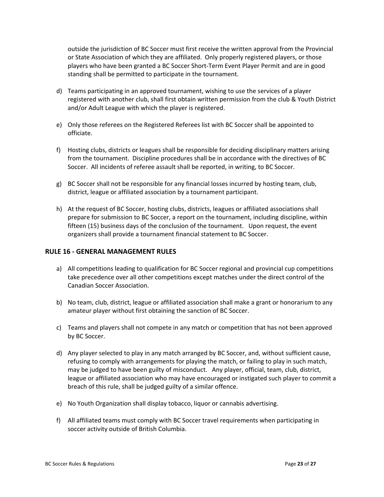outside the jurisdiction of BC Soccer must first receive the written approval from the Provincial or State Association of which they are affiliated. Only properly registered players, or those players who have been granted a BC Soccer Short-Term Event Player Permit and are in good standing shall be permitted to participate in the tournament.

- d) Teams participating in an approved tournament, wishing to use the services of a player registered with another club, shall first obtain written permission from the club & Youth District and/or Adult League with which the player is registered.
- e) Only those referees on the Registered Referees list with BC Soccer shall be appointed to officiate.
- f) Hosting clubs, districts or leagues shall be responsible for deciding disciplinary matters arising from the tournament. Discipline procedures shall be in accordance with the directives of BC Soccer. All incidents of referee assault shall be reported, in writing, to BC Soccer.
- g) BC Soccer shall not be responsible for any financial losses incurred by hosting team, club, district, league or affiliated association by a tournament participant.
- h) At the request of BC Soccer, hosting clubs, districts, leagues or affiliated associations shall prepare for submission to BC Soccer, a report on the tournament, including discipline, within fifteen (15) business days of the conclusion of the tournament. Upon request, the event organizers shall provide a tournament financial statement to BC Soccer.

## <span id="page-22-0"></span>**RULE 16 - GENERAL MANAGEMENT RULES**

- a) All competitions leading to qualification for BC Soccer regional and provincial cup competitions take precedence over all other competitions except matches under the direct control of the Canadian Soccer Association.
- b) No team, club, district, league or affiliated association shall make a grant or honorarium to any amateur player without first obtaining the sanction of BC Soccer.
- c) Teams and players shall not compete in any match or competition that has not been approved by BC Soccer.
- d) Any player selected to play in any match arranged by BC Soccer, and, without sufficient cause, refusing to comply with arrangements for playing the match, or failing to play in such match, may be judged to have been guilty of misconduct. Any player, official, team, club, district, league or affiliated association who may have encouraged or instigated such player to commit a breach of this rule, shall be judged guilty of a similar offence.
- e) No Youth Organization shall display tobacco, liquor or cannabis advertising.
- f) All affiliated teams must comply with BC Soccer travel requirements when participating in soccer activity outside of British Columbia.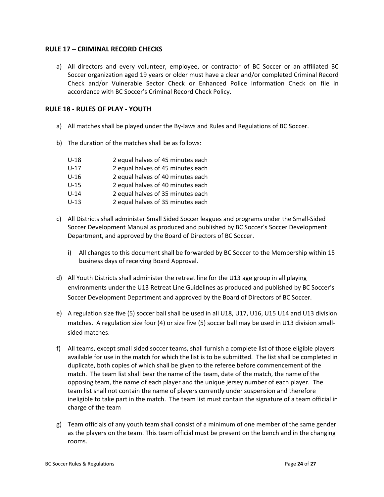## <span id="page-23-0"></span>**RULE 17 – CRIMINAL RECORD CHECKS**

a) All directors and every volunteer, employee, or contractor of BC Soccer or an affiliated BC Soccer organization aged 19 years or older must have a clear and/or completed Criminal Record Check and/or Vulnerable Sector Check or Enhanced Police Information Check on file in accordance with BC Soccer's Criminal Record Check Policy.

## <span id="page-23-1"></span>**RULE 18 - RULES OF PLAY - YOUTH**

- a) All matches shall be played under the By-laws and Rules and Regulations of BC Soccer.
- b) The duration of the matches shall be as follows:

| $U-18$ | 2 equal halves of 45 minutes each |
|--------|-----------------------------------|
| $U-17$ | 2 equal halves of 45 minutes each |
| $U-16$ | 2 equal halves of 40 minutes each |
| $U-15$ | 2 equal halves of 40 minutes each |
| $U-14$ | 2 equal halves of 35 minutes each |
| $U-13$ | 2 equal halves of 35 minutes each |

- c) All Districts shall administer Small Sided Soccer leagues and programs under the Small-Sided Soccer Development Manual as produced and published by BC Soccer's Soccer Development Department, and approved by the Board of Directors of BC Soccer.
	- i) All changes to this document shall be forwarded by BC Soccer to the Membership within 15 business days of receiving Board Approval.
- d) All Youth Districts shall administer the retreat line for the U13 age group in all playing environments under the U13 Retreat Line Guidelines as produced and published by BC Soccer's Soccer Development Department and approved by the Board of Directors of BC Soccer.
- e) A regulation size five (5) soccer ball shall be used in all U18, U17, U16, U15 U14 and U13 division matches. A regulation size four (4) or size five (5) soccer ball may be used in U13 division smallsided matches.
- f) All teams, except small sided soccer teams, shall furnish a complete list of those eligible players available for use in the match for which the list is to be submitted. The list shall be completed in duplicate, both copies of which shall be given to the referee before commencement of the match. The team list shall bear the name of the team, date of the match, the name of the opposing team, the name of each player and the unique jersey number of each player. The team list shall not contain the name of players currently under suspension and therefore ineligible to take part in the match. The team list must contain the signature of a team official in charge of the team
- g) Team officials of any youth team shall consist of a minimum of one member of the same gender as the players on the team. This team official must be present on the bench and in the changing rooms.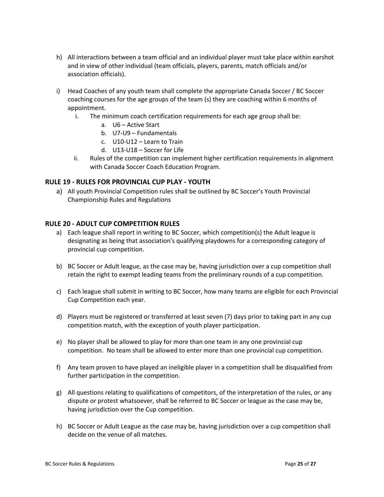- h) All interactions between a team official and an individual player must take place within earshot and in view of other individual (team officials, players, parents, match officials and/or association officials).
- i) Head Coaches of any youth team shall complete the appropriate Canada Soccer / BC Soccer coaching courses for the age groups of the team (s) they are coaching within 6 months of appointment.
	- i. The minimum coach certification requirements for each age group shall be:
		- a. U6 Active Start
		- b. U7-U9 Fundamentals
		- c. U10-U12 Learn to Train
		- d. U13-U18 Soccer for Life
	- ii. Rules of the competition can implement higher certification requirements in alignment with Canada Soccer Coach Education Program.

## <span id="page-24-0"></span>**RULE 19 - RULES FOR PROVINCIAL CUP PLAY - YOUTH**

a) All youth Provincial Competition rules shall be outlined by BC Soccer's Youth Provincial Championship Rules and Regulations

## <span id="page-24-1"></span>**RULE 20 - ADULT CUP COMPETITION RULES**

- a) Each league shall report in writing to BC Soccer, which competition(s) the Adult league is designating as being that association's qualifying playdowns for a corresponding category of provincial cup competition.
- b) BC Soccer or Adult league, as the case may be, having jurisdiction over a cup competition shall retain the right to exempt leading teams from the preliminary rounds of a cup competition.
- c) Each league shall submit in writing to BC Soccer, how many teams are eligible for each Provincial Cup Competition each year.
- d) Players must be registered or transferred at least seven (7) days prior to taking part in any cup competition match, with the exception of youth player participation.
- e) No player shall be allowed to play for more than one team in any one provincial cup competition. No team shall be allowed to enter more than one provincial cup competition.
- f) Any team proven to have played an ineligible player in a competition shall be disqualified from further participation in the competition.
- g) All questions relating to qualifications of competitors, of the interpretation of the rules, or any dispute or protest whatsoever, shall be referred to BC Soccer or league as the case may be, having jurisdiction over the Cup competition.
- h) BC Soccer or Adult League as the case may be, having jurisdiction over a cup competition shall decide on the venue of all matches.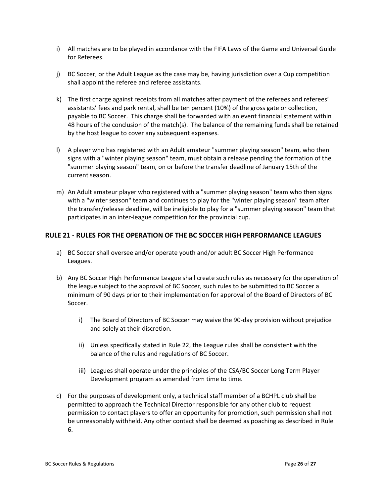- i) All matches are to be played in accordance with the FIFA Laws of the Game and Universal Guide for Referees.
- j) BC Soccer, or the Adult League as the case may be, having jurisdiction over a Cup competition shall appoint the referee and referee assistants.
- k) The first charge against receipts from all matches after payment of the referees and referees' assistants' fees and park rental, shall be ten percent (10%) of the gross gate or collection, payable to BC Soccer. This charge shall be forwarded with an event financial statement within 48 hours of the conclusion of the match(s). The balance of the remaining funds shall be retained by the host league to cover any subsequent expenses.
- l) A player who has registered with an Adult amateur "summer playing season" team, who then signs with a "winter playing season" team, must obtain a release pending the formation of the "summer playing season" team, on or before the transfer deadline of January 15th of the current season.
- m) An Adult amateur player who registered with a "summer playing season" team who then signs with a "winter season" team and continues to play for the "winter playing season" team after the transfer/release deadline, will be ineligible to play for a "summer playing season" team that participates in an inter-league competition for the provincial cup.

## <span id="page-25-0"></span>**RULE 21 - RULES FOR THE OPERATION OF THE BC SOCCER HIGH PERFORMANCE LEAGUES**

- a) BC Soccer shall oversee and/or operate youth and/or adult BC Soccer High Performance Leagues.
- b) Any BC Soccer High Performance League shall create such rules as necessary for the operation of the league subject to the approval of BC Soccer, such rules to be submitted to BC Soccer a minimum of 90 days prior to their implementation for approval of the Board of Directors of BC Soccer.
	- i) The Board of Directors of BC Soccer may waive the 90-day provision without prejudice and solely at their discretion.
	- ii) Unless specifically stated in Rule 22, the League rules shall be consistent with the balance of the rules and regulations of BC Soccer.
	- iii) Leagues shall operate under the principles of the CSA/BC Soccer Long Term Player Development program as amended from time to time.
- c) For the purposes of development only, a technical staff member of a BCHPL club shall be permitted to approach the Technical Director responsible for any other club to request permission to contact players to offer an opportunity for promotion, such permission shall not be unreasonably withheld. Any other contact shall be deemed as poaching as described in Rule 6.